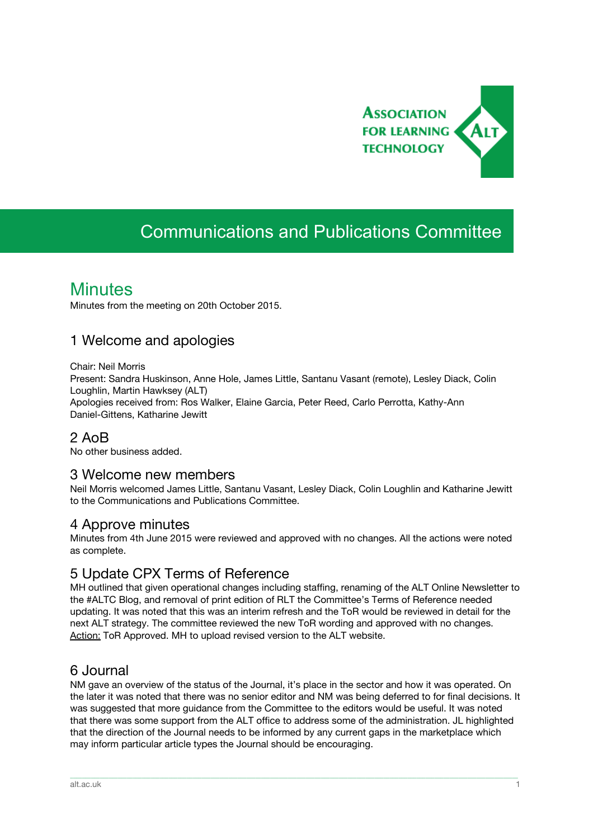

# Communications and Publications Committee

## **Minutes**

Minutes from the meeting on 20th October 2015.

### 1 Welcome and apologies

Chair: Neil Morris Present: Sandra Huskinson, Anne Hole, James Little, Santanu Vasant (remote), Lesley Diack, Colin Loughlin, Martin Hawksey (ALT) Apologies received from: Ros Walker, Elaine Garcia, Peter Reed, Carlo Perrotta, Kathy-Ann Daniel-Gittens, Katharine Jewitt

#### 2 AoB

No other business added.

#### 3 Welcome new members

Neil Morris welcomed James Little, Santanu Vasant, Lesley Diack, Colin Loughlin and Katharine Jewitt to the Communications and Publications Committee.

#### 4 Approve minutes

Minutes from 4th June 2015 were reviewed and approved with no changes. All the actions were noted as complete.

#### 5 Update CPX Terms of Reference

MH outlined that given operational changes including staffing, renaming of the ALT Online Newsletter to the #ALTC Blog, and removal of print edition of RLT the Committee's Terms of Reference needed updating. It was noted that this was an interim refresh and the ToR would be reviewed in detail for the next ALT strategy. The committee reviewed the new ToR wording and approved with no changes. Action: ToR Approved. MH to upload revised version to the ALT website.

#### 6 Journal

NM gave an overview of the status of the Journal, it's place in the sector and how it was operated. On the later it was noted that there was no senior editor and NM was being deferred to for final decisions. It was suggested that more guidance from the Committee to the editors would be useful. It was noted that there was some support from the ALT office to address some of the administration. JL highlighted that the direction of the Journal needs to be informed by any current gaps in the marketplace which may inform particular article types the Journal should be encouraging.

\_\_\_\_\_\_\_\_\_\_\_\_\_\_\_\_\_\_\_\_\_\_\_\_\_\_\_\_\_\_\_\_\_\_\_\_\_\_\_\_\_\_\_\_\_\_\_\_\_\_\_\_\_\_\_\_\_\_\_\_\_\_\_\_\_\_\_\_\_\_\_\_\_\_\_\_\_\_\_\_\_\_\_\_\_\_\_\_\_\_\_\_\_\_\_\_\_\_\_\_\_\_\_\_\_\_\_\_\_\_\_\_\_\_\_\_\_\_\_\_\_\_\_\_\_\_\_\_\_\_\_\_\_\_\_\_\_\_\_\_\_\_\_\_\_\_\_\_\_\_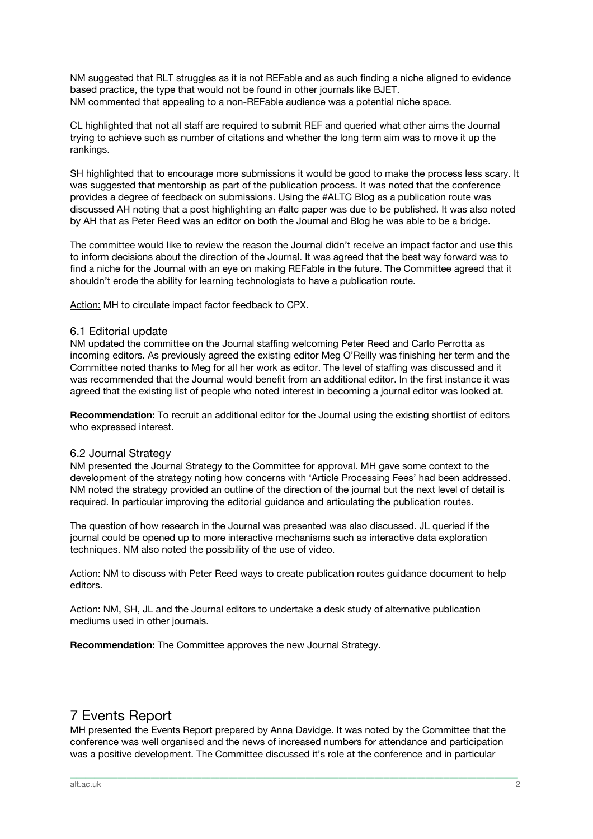NM suggested that RLT struggles as it is not REFable and as such finding a niche aligned to evidence based practice, the type that would not be found in other journals like BJET. NM commented that appealing to a non-REFable audience was a potential niche space.

CL highlighted that not all staff are required to submit REF and queried what other aims the Journal trying to achieve such as number of citations and whether the long term aim was to move it up the rankings.

SH highlighted that to encourage more submissions it would be good to make the process less scary. It was suggested that mentorship as part of the publication process. It was noted that the conference provides a degree of feedback on submissions. Using the #ALTC Blog as a publication route was discussed AH noting that a post highlighting an #altc paper was due to be published. It was also noted by AH that as Peter Reed was an editor on both the Journal and Blog he was able to be a bridge.

The committee would like to review the reason the Journal didn't receive an impact factor and use this to inform decisions about the direction of the Journal. It was agreed that the best way forward was to find a niche for the Journal with an eye on making REFable in the future. The Committee agreed that it shouldn't erode the ability for learning technologists to have a publication route.

Action: MH to circulate impact factor feedback to CPX.

#### 6.1 Editorial update

NM updated the committee on the Journal staffing welcoming Peter Reed and Carlo Perrotta as incoming editors. As previously agreed the existing editor Meg O'Reilly was finishing her term and the Committee noted thanks to Meg for all her work as editor. The level of staffing was discussed and it was recommended that the Journal would benefit from an additional editor. In the first instance it was agreed that the existing list of people who noted interest in becoming a journal editor was looked at.

**Recommendation:**To recruit an additional editor for the Journal using the existing shortlist of editors who expressed interest.

#### 6.2 Journal Strategy

NM presented the Journal Strategy to the Committee for approval. MH gave some context to the development of the strategy noting how concerns with 'Article Processing Fees' had been addressed. NM noted the strategy provided an outline of the direction of the journal but the next level of detail is required. In particular improving the editorial guidance and articulating the publication routes.

The question of how research in the Journal was presented was also discussed. JL queried if the journal could be opened up to more interactive mechanisms such as interactive data exploration techniques. NM also noted the possibility of the use of video.

Action: NM to discuss with Peter Reed ways to create publication routes guidance document to help editors.

Action: NM, SH, JL and the Journal editors to undertake a desk study of alternative publication mediums used in other journals.

**Recommendation:**The Committee approves the new Journal Strategy.

### 7 Events Report

MH presented the Events Report prepared by Anna Davidge. It was noted by the Committee that the conference was well organised and the news of increased numbers for attendance and participation was a positive development. The Committee discussed it's role at the conference and in particular

\_\_\_\_\_\_\_\_\_\_\_\_\_\_\_\_\_\_\_\_\_\_\_\_\_\_\_\_\_\_\_\_\_\_\_\_\_\_\_\_\_\_\_\_\_\_\_\_\_\_\_\_\_\_\_\_\_\_\_\_\_\_\_\_\_\_\_\_\_\_\_\_\_\_\_\_\_\_\_\_\_\_\_\_\_\_\_\_\_\_\_\_\_\_\_\_\_\_\_\_\_\_\_\_\_\_\_\_\_\_\_\_\_\_\_\_\_\_\_\_\_\_\_\_\_\_\_\_\_\_\_\_\_\_\_\_\_\_\_\_\_\_\_\_\_\_\_\_\_\_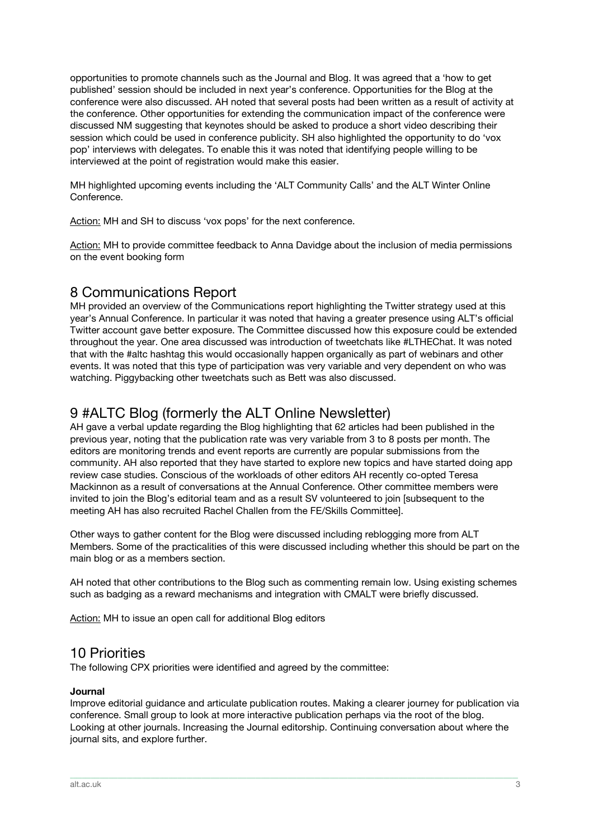opportunities to promote channels such as the Journal and Blog. It was agreed that a 'how to get published' session should be included in next year's conference. Opportunities for the Blog at the conference were also discussed. AH noted that several posts had been written as a result of activity at the conference. Other opportunities for extending the communication impact of the conference were discussed NM suggesting that keynotes should be asked to produce a short video describing their session which could be used in conference publicity. SH also highlighted the opportunity to do 'vox pop' interviews with delegates. To enable this it was noted that identifying people willing to be interviewed at the point of registration would make this easier.

MH highlighted upcoming events including the 'ALT Community Calls' and the ALT Winter Online Conference.

Action: MH and SH to discuss 'vox pops' for the next conference.

Action: MH to provide committee feedback to Anna Davidge about the inclusion of media permissions on the event booking form

### 8 Communications Report

MH provided an overview of the Communications report highlighting the Twitter strategy used at this year's Annual Conference. In particular it was noted that having a greater presence using ALT's official Twitter account gave better exposure. The Committee discussed how this exposure could be extended throughout the year. One area discussed was introduction of tweetchats like #LTHEChat. It was noted that with the #altc hashtag this would occasionally happen organically as part of webinars and other events. It was noted that this type of participation was very variable and very dependent on who was watching. Piggybacking other tweetchats such as Bett was also discussed.

### 9 #ALTC Blog (formerly the ALT Online Newsletter)

AH gave a verbal update regarding the Blog highlighting that 62 articles had been published in the previous year, noting that the publication rate was very variable from 3 to 8 posts per month. The editors are monitoring trends and event reports are currently are popular submissions from the community. AH also reported that they have started to explore new topics and have started doing app review case studies. Conscious of the workloads of other editors AH recently co-opted Teresa Mackinnon as a result of conversations at the Annual Conference. Other committee members were invited to join the Blog's editorial team and as a result SV volunteered to join [subsequent to the meeting AH has also recruited Rachel Challen from the FE/Skills Committee].

Other ways to gather content for the Blog were discussed including reblogging more from ALT Members. Some of the practicalities of this were discussed including whether this should be part on the main blog or as a members section.

AH noted that other contributions to the Blog such as commenting remain low. Using existing schemes such as badging as a reward mechanisms and integration with CMALT were briefly discussed.

Action: MH to issue an open call for additional Blog editors

#### 10 Priorities

The following CPX priorities were identified and agreed by the committee:

#### **Journal**

Improve editorial guidance and articulate publication routes. Making a clearer journey for publication via conference. Small group to look at more interactive publication perhaps via the root of the blog. Looking at other journals. Increasing the Journal editorship. Continuing conversation about where the journal sits, and explore further.

\_\_\_\_\_\_\_\_\_\_\_\_\_\_\_\_\_\_\_\_\_\_\_\_\_\_\_\_\_\_\_\_\_\_\_\_\_\_\_\_\_\_\_\_\_\_\_\_\_\_\_\_\_\_\_\_\_\_\_\_\_\_\_\_\_\_\_\_\_\_\_\_\_\_\_\_\_\_\_\_\_\_\_\_\_\_\_\_\_\_\_\_\_\_\_\_\_\_\_\_\_\_\_\_\_\_\_\_\_\_\_\_\_\_\_\_\_\_\_\_\_\_\_\_\_\_\_\_\_\_\_\_\_\_\_\_\_\_\_\_\_\_\_\_\_\_\_\_\_\_